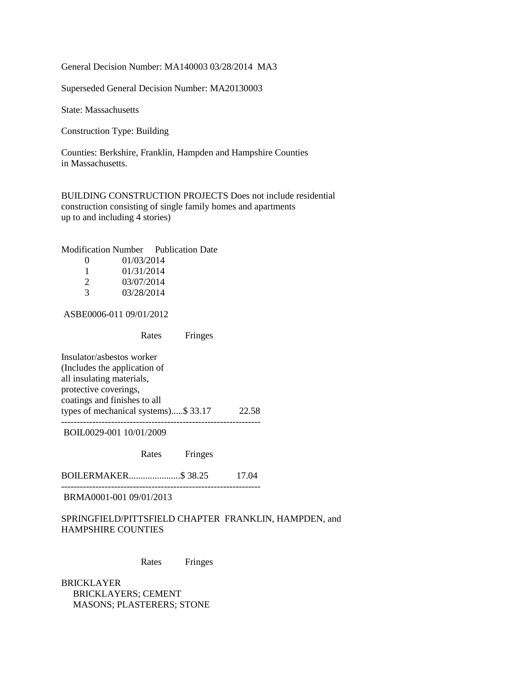General Decision Number: MA140003 03/28/2014 MA3

Superseded General Decision Number: MA20130003

State: Massachusetts

Construction Type: Building

Counties: Berkshire, Franklin, Hampden and Hampshire Counties in Massachusetts.

BUILDING CONSTRUCTION PROJECTS Does not include residential construction consisting of single family homes and apartments up to and including 4 stories)

| Modification Number | <b>Publication Date</b> |
|---------------------|-------------------------|
|---------------------|-------------------------|

| $\mathbf{\Omega}$     | 01/03/2014 |
|-----------------------|------------|
| ı.                    | 01/31/2014 |
| $\mathcal{D}_{\cdot}$ | 03/07/2014 |
| 3                     | 03/28/2014 |

ASBE0006-011 09/01/2012

Rates Fringes

Insulator/asbestos worker (Includes the application of all insulating materials, protective coverings, coatings and finishes to all types of mechanical systems).....\$ 33.17 22.58 ----------------------------------------------------------------

BOIL0029-001 10/01/2009

Rates Fringes

BOILERMAKER......................\$ 38.25 17.04 ----------------------------------------------------------------

BRMA0001-001 09/01/2013

SPRINGFIELD/PITTSFIELD CHAPTER FRANKLIN, HAMPDEN, and HAMPSHIRE COUNTIES

Rates Fringes

BRICKLAYER BRICKLAYERS; CEMENT MASONS; PLASTERERS; STONE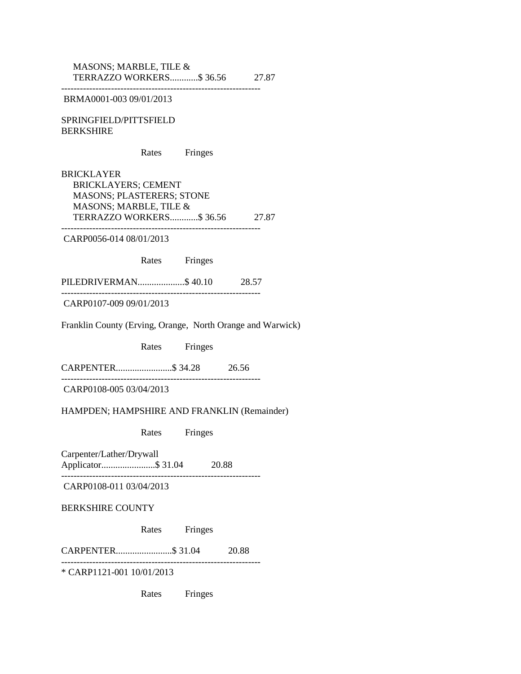MASONS; MARBLE, TILE & TERRAZZO WORKERS............\$ 36.56 27.87 ----------------------------------------------------------------

BRMA0001-003 09/01/2013

SPRINGFIELD/PITTSFIELD BERKSHIRE

Rates Fringes

BRICKLAYER BRICKLAYERS; CEMENT MASONS; PLASTERERS; STONE MASONS; MARBLE, TILE & TERRAZZO WORKERS............\$ 36.56 27.87 ----------------------------------------------------------------

CARP0056-014 08/01/2013

Rates Fringes

PILEDRIVERMAN....................\$ 40.10 28.57 ----------------------------------------------------------------

CARP0107-009 09/01/2013

Franklin County (Erving, Orange, North Orange and Warwick)

Rates Fringes

CARPENTER........................\$ 34.28 26.56

CARP0108-005 03/04/2013

HAMPDEN; HAMPSHIRE AND FRANKLIN (Remainder)

----------------------------------------------------------------

Rates Fringes

Carpenter/Lather/Drywall Applicator.......................\$ 31.04 20.88 ----------------------------------------------------------------

CARP0108-011 03/04/2013

BERKSHIRE COUNTY

Rates Fringes

CARPENTER........................\$ 31.04 20.88

----------------------------------------------------------------

\* CARP1121-001 10/01/2013

Rates Fringes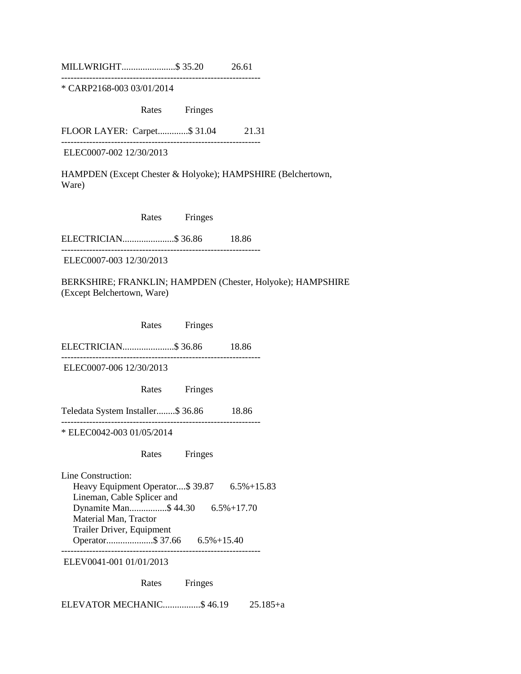MILLWRIGHT.......................\$ 35.20 26.61

----------------------------------------------------------------

\* CARP2168-003 03/01/2014

Rates Fringes

FLOOR LAYER: Carpet.............\$ 31.04 21.31

----------------------------------------------------------------

ELEC0007-002 12/30/2013

HAMPDEN (Except Chester & Holyoke); HAMPSHIRE (Belchertown, Ware)

| Rates | Fringes |
|-------|---------|
|       |         |

ELECTRICIAN......................\$ 36.86 18.86 ----------------------------------------------------------------

ELEC0007-003 12/30/2013

BERKSHIRE; FRANKLIN; HAMPDEN (Chester, Holyoke); HAMPSHIRE (Except Belchertown, Ware)

 Rates Fringes ELECTRICIAN......................\$ 36.86 18.86 ---------------------------------------------------------------- ELEC0007-006 12/30/2013 Rates Fringes Teledata System Installer........\$ 36.86 18.86 ---------------------------------------------------------------- \* ELEC0042-003 01/05/2014 Rates Fringes Line Construction: Heavy Equipment Operator....\$ 39.87 6.5%+15.83 Lineman, Cable Splicer and Dynamite Man................\$ 44.30 6.5%+17.70 Material Man, Tractor Trailer Driver, Equipment Operator....................\$ 37.66 6.5%+15.40 ---------------------------------------------------------------- ELEV0041-001 01/01/2013

Rates Fringes

ELEVATOR MECHANIC................\$ 46.19 25.185+a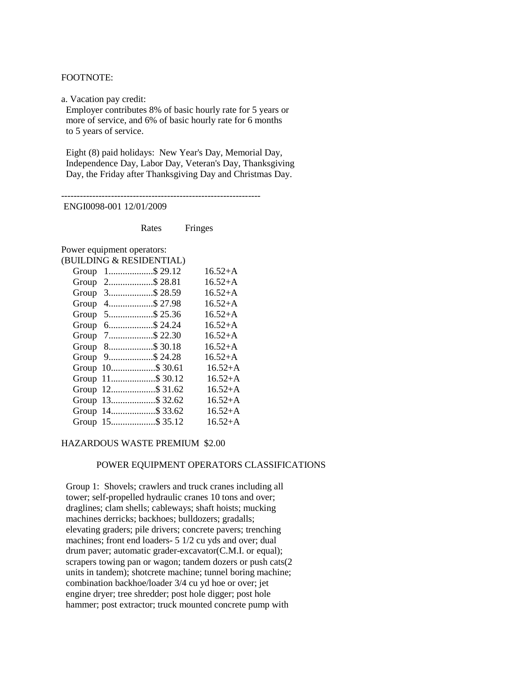### FOOTNOTE:

a. Vacation pay credit:

 Employer contributes 8% of basic hourly rate for 5 years or more of service, and 6% of basic hourly rate for 6 months to 5 years of service.

 Eight (8) paid holidays: New Year's Day, Memorial Day, Independence Day, Labor Day, Veteran's Day, Thanksgiving Day, the Friday after Thanksgiving Day and Christmas Day.

---------------------------------------------------------------- ENGI0098-001 12/01/2009

Rates Fringes

Power equipment operators: (BUILDING & RESIDENTIAL)

|  | $\mu$            |           |
|--|------------------|-----------|
|  | Group 1\$ 29.12  | $16.52+A$ |
|  | Group 2\$28.81   | $16.52+A$ |
|  | Group 3\$28.59   | $16.52+A$ |
|  | Group 4\$ 27.98  | $16.52+A$ |
|  | Group 5\$ 25.36  | $16.52+A$ |
|  | Group 6\$24.24   | $16.52+A$ |
|  | Group 7\$ 22.30  | $16.52+A$ |
|  | Group 8\$ 30.18  | $16.52+A$ |
|  | Group 9\$24.28   | $16.52+A$ |
|  | Group 10\$ 30.61 | $16.52+A$ |
|  | Group 11\$ 30.12 | $16.52+A$ |
|  | Group 12\$ 31.62 | $16.52+A$ |
|  | Group 13\$ 32.62 | $16.52+A$ |
|  | Group 14\$ 33.62 | $16.52+A$ |
|  | Group 15 \$35.12 | $16.52+A$ |
|  |                  |           |

### HAZARDOUS WASTE PREMIUM \$2.00

### POWER EQUIPMENT OPERATORS CLASSIFICATIONS

 Group 1: Shovels; crawlers and truck cranes including all tower; self-propelled hydraulic cranes 10 tons and over; draglines; clam shells; cableways; shaft hoists; mucking machines derricks; backhoes; bulldozers; gradalls; elevating graders; pile drivers; concrete pavers; trenching machines; front end loaders- 5 1/2 cu yds and over; dual drum paver; automatic grader-excavator(C.M.I. or equal); scrapers towing pan or wagon; tandem dozers or push cats(2 units in tandem); shotcrete machine; tunnel boring machine; combination backhoe/loader 3/4 cu yd hoe or over; jet engine dryer; tree shredder; post hole digger; post hole hammer; post extractor; truck mounted concrete pump with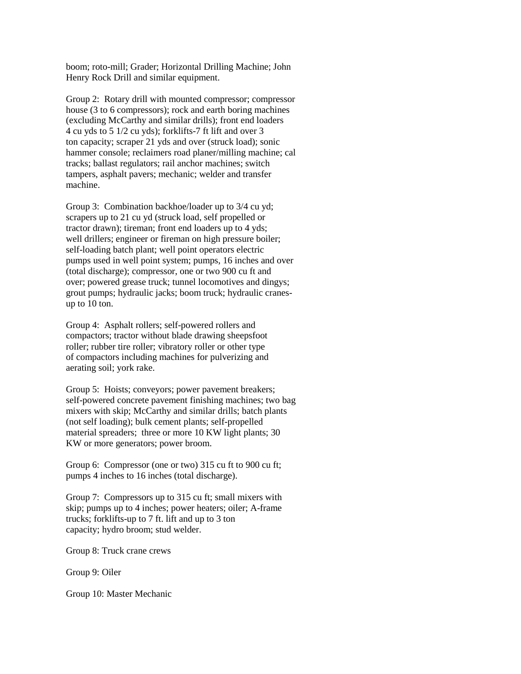boom; roto-mill; Grader; Horizontal Drilling Machine; John Henry Rock Drill and similar equipment.

 Group 2: Rotary drill with mounted compressor; compressor house (3 to 6 compressors); rock and earth boring machines (excluding McCarthy and similar drills); front end loaders 4 cu yds to 5 1/2 cu yds); forklifts-7 ft lift and over 3 ton capacity; scraper 21 yds and over (struck load); sonic hammer console; reclaimers road planer/milling machine; cal tracks; ballast regulators; rail anchor machines; switch tampers, asphalt pavers; mechanic; welder and transfer machine.

 Group 3: Combination backhoe/loader up to 3/4 cu yd; scrapers up to 21 cu yd (struck load, self propelled or tractor drawn); tireman; front end loaders up to 4 yds; well drillers; engineer or fireman on high pressure boiler; self-loading batch plant; well point operators electric pumps used in well point system; pumps, 16 inches and over (total discharge); compressor, one or two 900 cu ft and over; powered grease truck; tunnel locomotives and dingys; grout pumps; hydraulic jacks; boom truck; hydraulic cranes up to 10 ton.

 Group 4: Asphalt rollers; self-powered rollers and compactors; tractor without blade drawing sheepsfoot roller; rubber tire roller; vibratory roller or other type of compactors including machines for pulverizing and aerating soil; york rake.

 Group 5: Hoists; conveyors; power pavement breakers; self-powered concrete pavement finishing machines; two bag mixers with skip; McCarthy and similar drills; batch plants (not self loading); bulk cement plants; self-propelled material spreaders; three or more 10 KW light plants; 30 KW or more generators; power broom.

Group 6: Compressor (one or two) 315 cu ft to 900 cu ft; pumps 4 inches to 16 inches (total discharge).

 Group 7: Compressors up to 315 cu ft; small mixers with skip; pumps up to 4 inches; power heaters; oiler; A-frame trucks; forklifts-up to 7 ft. lift and up to 3 ton capacity; hydro broom; stud welder.

Group 8: Truck crane crews

Group 9: Oiler

Group 10: Master Mechanic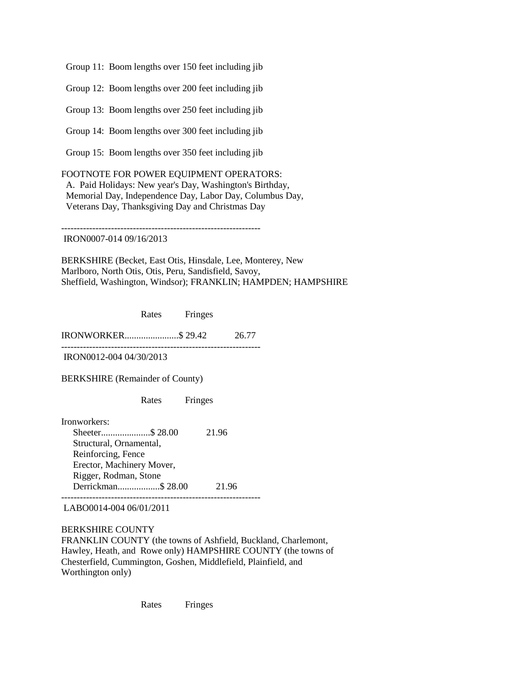Group 11: Boom lengths over 150 feet including jib

Group 12: Boom lengths over 200 feet including jib

Group 13: Boom lengths over 250 feet including jib

Group 14: Boom lengths over 300 feet including jib

Group 15: Boom lengths over 350 feet including jib

FOOTNOTE FOR POWER EQUIPMENT OPERATORS: A. Paid Holidays: New year's Day, Washington's Birthday, Memorial Day, Independence Day, Labor Day, Columbus Day, Veterans Day, Thanksgiving Day and Christmas Day

----------------------------------------------------------------

IRON0007-014 09/16/2013

BERKSHIRE (Becket, East Otis, Hinsdale, Lee, Monterey, New Marlboro, North Otis, Otis, Peru, Sandisfield, Savoy, Sheffield, Washington, Windsor); FRANKLIN; HAMPDEN; HAMPSHIRE

Rates Fringes

IRONWORKER.......................\$ 29.42 26.77 ----------------------------------------------------------------

IRON0012-004 04/30/2013

BERKSHIRE (Remainder of County)

Rates Fringes

Ironworkers: Sheeter.....................\$ 28.00 21.96 Structural, Ornamental, Reinforcing, Fence Erector, Machinery Mover, Rigger, Rodman, Stone Derrickman..................\$ 28.00 21.96 ----------------------------------------------------------------

LABO0014-004 06/01/2011

BERKSHIRE COUNTY FRANKLIN COUNTY (the towns of Ashfield, Buckland, Charlemont, Hawley, Heath, and Rowe only) HAMPSHIRE COUNTY (the towns of Chesterfield, Cummington, Goshen, Middlefield, Plainfield, and Worthington only)

Rates Fringes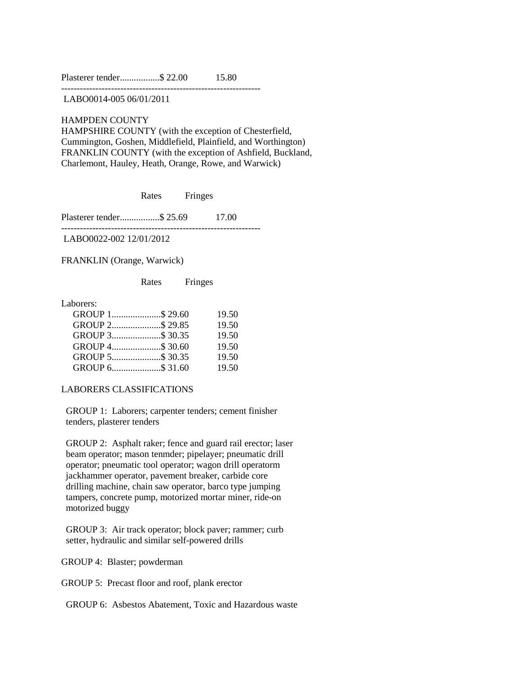|  | Plasterer tender\$ 22.00 | 15.80 |
|--|--------------------------|-------|
|  |                          |       |

----------------------------------------------------------------

LABO0014-005 06/01/2011

HAMPDEN COUNTY HAMPSHIRE COUNTY (with the exception of Chesterfield, Cummington, Goshen, Middlefield, Plainfield, and Worthington) FRANKLIN COUNTY (with the exception of Ashfield, Buckland, Charlemont, Hauley, Heath, Orange, Rowe, and Warwick)

Rates Fringes

----------------------------------------------------------------

Plasterer tender.................\$ 25.69 17.00

LABO0022-002 12/01/2012

FRANKLIN (Orange, Warwick)

Rates Fringes

Laborers:

|                 | 19.50 |
|-----------------|-------|
|                 | 19.50 |
| GROUP 3\$ 30.35 | 19.50 |
| GROUP 4\$ 30.60 | 19.50 |
| GROUP 5\$ 30.35 | 19.50 |
| GROUP 6\$ 31.60 | 19.50 |

LABORERS CLASSIFICATIONS

 GROUP 1: Laborers; carpenter tenders; cement finisher tenders, plasterer tenders

 GROUP 2: Asphalt raker; fence and guard rail erector; laser beam operator; mason tenmder; pipelayer; pneumatic drill operator; pneumatic tool operator; wagon drill operatorm jackhammer operator, pavement breaker, carbide core drilling machine, chain saw operator, barco type jumping tampers, concrete pump, motorized mortar miner, ride-on motorized buggy

 GROUP 3: Air track operator; block paver; rammer; curb setter, hydraulic and similar self-powered drills

GROUP 4: Blaster; powderman

GROUP 5: Precast floor and roof, plank erector

GROUP 6: Asbestos Abatement, Toxic and Hazardous waste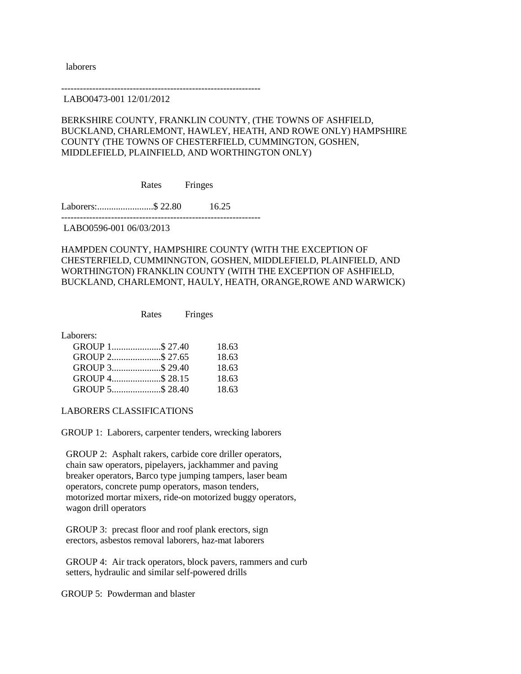laborers

----------------------------------------------------------------

LABO0473-001 12/01/2012

## BERKSHIRE COUNTY, FRANKLIN COUNTY, (THE TOWNS OF ASHFIELD, BUCKLAND, CHARLEMONT, HAWLEY, HEATH, AND ROWE ONLY) HAMPSHIRE COUNTY (THE TOWNS OF CHESTERFIELD, CUMMINGTON, GOSHEN, MIDDLEFIELD, PLAINFIELD, AND WORTHINGTON ONLY)

Rates Fringes

Laborers:........................\$ 22.80 16.25 ----------------------------------------------------------------

LABO0596-001 06/03/2013

## HAMPDEN COUNTY, HAMPSHIRE COUNTY (WITH THE EXCEPTION OF CHESTERFIELD, CUMMINNGTON, GOSHEN, MIDDLEFIELD, PLAINFIELD, AND WORTHINGTON) FRANKLIN COUNTY (WITH THE EXCEPTION OF ASHFIELD, BUCKLAND, CHARLEMONT, HAULY, HEATH, ORANGE,ROWE AND WARWICK)

Rates Fringes

Laborers:

|  |                 | 18.63 |
|--|-----------------|-------|
|  |                 | 18.63 |
|  | GROUP 3\$29.40  | 18.63 |
|  |                 | 18.63 |
|  | GROUP 5\$ 28.40 | 18.63 |
|  |                 |       |

LABORERS CLASSIFICATIONS

GROUP 1: Laborers, carpenter tenders, wrecking laborers

 GROUP 2: Asphalt rakers, carbide core driller operators, chain saw operators, pipelayers, jackhammer and paving breaker operators, Barco type jumping tampers, laser beam operators, concrete pump operators, mason tenders, motorized mortar mixers, ride-on motorized buggy operators, wagon drill operators

 GROUP 3: precast floor and roof plank erectors, sign erectors, asbestos removal laborers, haz-mat laborers

 GROUP 4: Air track operators, block pavers, rammers and curb setters, hydraulic and similar self-powered drills

GROUP 5: Powderman and blaster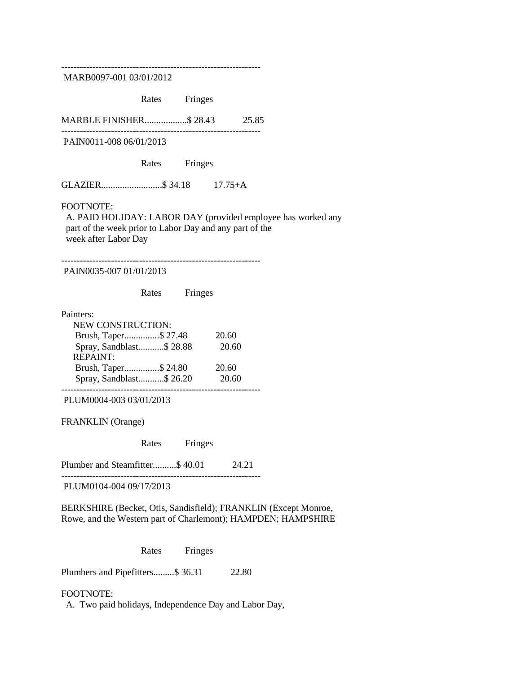---------------------------------------------------------------- MARB0097-001 03/01/2012 Rates Fringes MARBLE FINISHER..................\$ 28.43 25.85 ---------------------------------------------------------------- PAIN0011-008 06/01/2013 Rates Fringes GLAZIER..........................\$ 34.18 17.75+A FOOTNOTE: A. PAID HOLIDAY: LABOR DAY (provided employee has worked any part of the week prior to Labor Day and any part of the week after Labor Day ---------------------------------------------------------------- PAIN0035-007 01/01/2013 Rates Fringes Painters: NEW CONSTRUCTION: Brush, Taper...............\$ 27.48 20.60 Spray, Sandblast...........\$ 28.88 20.60 REPAINT: Brush, Taper...............\$ 24.80 20.60 Spray, Sandblast...........\$ 26.20 20.60 ---------------------------------------------------------------- PLUM0004-003 03/01/2013 FRANKLIN (Orange) Rates Fringes Plumber and Steamfitter...........\$ 40.01 24.21 ---------------------------------------------------------------- PLUM0104-004 09/17/2013 BERKSHIRE (Becket, Otis, Sandisfield); FRANKLIN (Except Monroe, Rowe, and the Western part of Charlemont); HAMPDEN; HAMPSHIRE Rates Fringes

Plumbers and Pipefitters.........\$ 36.31 22.80

### FOOTNOTE:

A. Two paid holidays, Independence Day and Labor Day,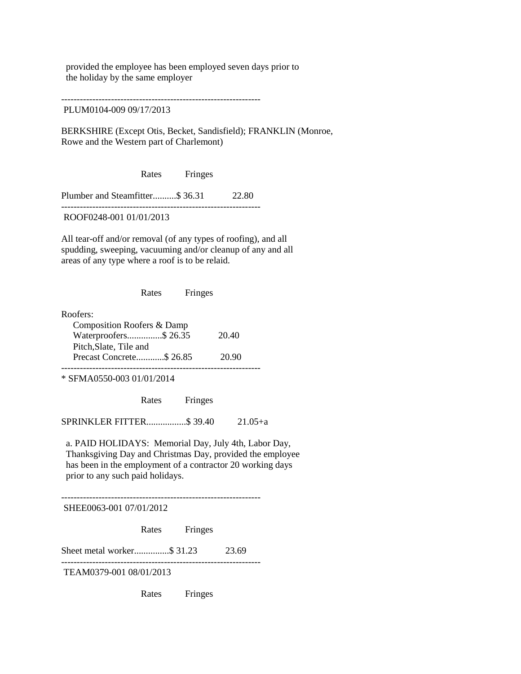provided the employee has been employed seven days prior to the holiday by the same employer

---------------------------------------------------------------- PLUM0104-009 09/17/2013

BERKSHIRE (Except Otis, Becket, Sandisfield); FRANKLIN (Monroe, Rowe and the Western part of Charlemont)

Rates Fringes

Plumber and Steamfitter..........\$ 36.31 22.80 ----------------------------------------------------------------

ROOF0248-001 01/01/2013

All tear-off and/or removal (of any types of roofing), and all spudding, sweeping, vacuuming and/or cleanup of any and all areas of any type where a roof is to be relaid.

Rates Fringes

Roofers: Composition Roofers & Damp Waterproofers...............\$ 26.35 20.40 Pitch,Slate, Tile and Precast Concrete............\$ 26.85 20.90 ----------------------------------------------------------------

\* SFMA0550-003 01/01/2014

Rates Fringes

SPRINKLER FITTER.................\$ 39.40 21.05+a

 a. PAID HOLIDAYS: Memorial Day, July 4th, Labor Day, Thanksgiving Day and Christmas Day, provided the employee has been in the employment of a contractor 20 working days prior to any such paid holidays.

----------------------------------------------------------------

SHEE0063-001 07/01/2012

Rates Fringes

Sheet metal worker.................\$ 31.23 23.69

----------------------------------------------------------------

TEAM0379-001 08/01/2013

Rates Fringes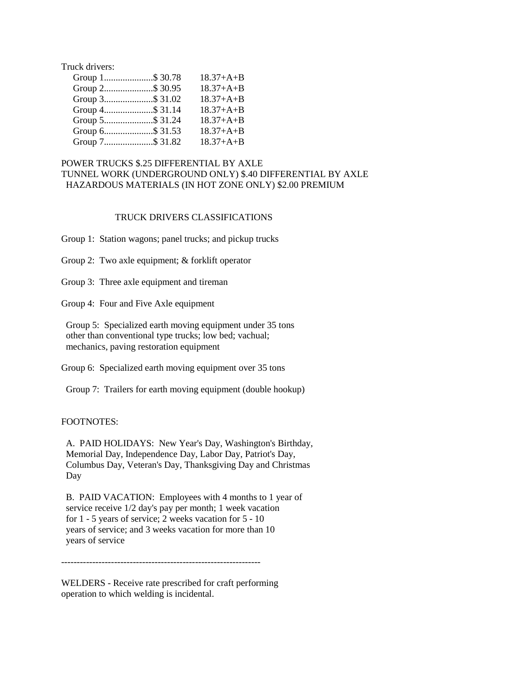Truck drivers:

| Group 1\$ 30.78 | $18.37+A+B$ |
|-----------------|-------------|
| Group 2\$ 30.95 | $18.37+A+B$ |
| Group 3\$ 31.02 | $18.37+A+B$ |
| Group 4\$ 31.14 | $18.37+A+B$ |
| Group 5\$ 31.24 | $18.37+A+B$ |
| Group 6\$ 31.53 | $18.37+A+B$ |
| Group 7\$ 31.82 | $18.37+A+B$ |

## POWER TRUCKS \$.25 DIFFERENTIAL BY AXLE TUNNEL WORK (UNDERGROUND ONLY) \$.40 DIFFERENTIAL BY AXLE HAZARDOUS MATERIALS (IN HOT ZONE ONLY) \$2.00 PREMIUM

### TRUCK DRIVERS CLASSIFICATIONS

Group 1: Station wagons; panel trucks; and pickup trucks

Group 2: Two axle equipment; & forklift operator

Group 3: Three axle equipment and tireman

Group 4: Four and Five Axle equipment

 Group 5: Specialized earth moving equipment under 35 tons other than conventional type trucks; low bed; vachual; mechanics, paving restoration equipment

Group 6: Specialized earth moving equipment over 35 tons

Group 7: Trailers for earth moving equipment (double hookup)

### FOOTNOTES:

 A. PAID HOLIDAYS: New Year's Day, Washington's Birthday, Memorial Day, Independence Day, Labor Day, Patriot's Day, Columbus Day, Veteran's Day, Thanksgiving Day and Christmas Day

 B. PAID VACATION: Employees with 4 months to 1 year of service receive 1/2 day's pay per month; 1 week vacation for 1 - 5 years of service; 2 weeks vacation for 5 - 10 years of service; and 3 weeks vacation for more than 10 years of service

----------------------------------------------------------------

WELDERS - Receive rate prescribed for craft performing operation to which welding is incidental.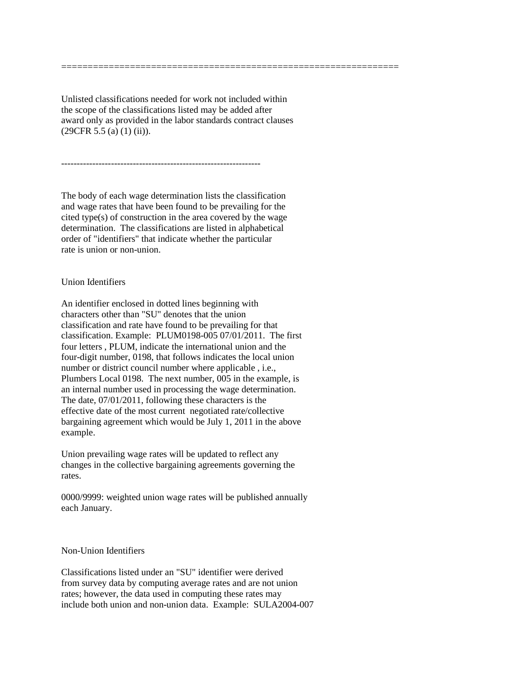Unlisted classifications needed for work not included within the scope of the classifications listed may be added after award only as provided in the labor standards contract clauses (29CFR 5.5 (a) (1) (ii)).

================================================================

The body of each wage determination lists the classification and wage rates that have been found to be prevailing for the cited type(s) of construction in the area covered by the wage determination. The classifications are listed in alphabetical order of "identifiers" that indicate whether the particular rate is union or non-union.

----------------------------------------------------------------

## Union Identifiers

An identifier enclosed in dotted lines beginning with characters other than "SU" denotes that the union classification and rate have found to be prevailing for that classification. Example: PLUM0198-005 07/01/2011. The first four letters , PLUM, indicate the international union and the four-digit number, 0198, that follows indicates the local union number or district council number where applicable , i.e., Plumbers Local 0198. The next number, 005 in the example, is an internal number used in processing the wage determination. The date, 07/01/2011, following these characters is the effective date of the most current negotiated rate/collective bargaining agreement which would be July 1, 2011 in the above example.

Union prevailing wage rates will be updated to reflect any changes in the collective bargaining agreements governing the rates.

0000/9999: weighted union wage rates will be published annually each January.

## Non-Union Identifiers

Classifications listed under an "SU" identifier were derived from survey data by computing average rates and are not union rates; however, the data used in computing these rates may include both union and non-union data. Example: SULA2004-007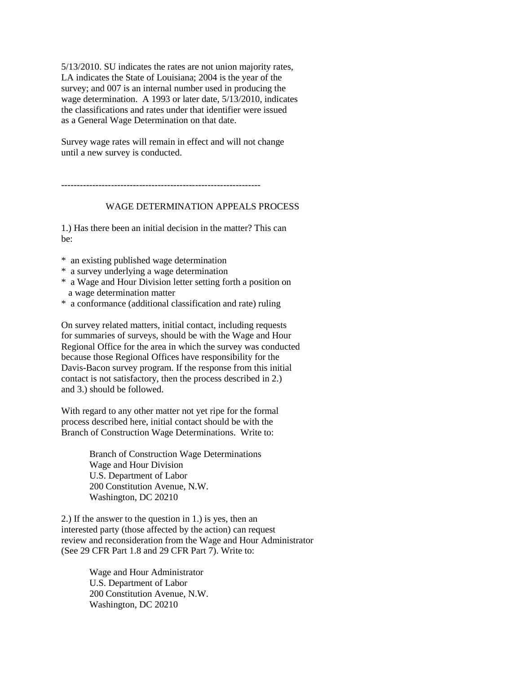5/13/2010. SU indicates the rates are not union majority rates, LA indicates the State of Louisiana; 2004 is the year of the survey; and 007 is an internal number used in producing the wage determination. A 1993 or later date, 5/13/2010, indicates the classifications and rates under that identifier were issued as a General Wage Determination on that date.

Survey wage rates will remain in effect and will not change until a new survey is conducted.

----------------------------------------------------------------

# WAGE DETERMINATION APPEALS PROCESS

1.) Has there been an initial decision in the matter? This can be:

\* an existing published wage determination

- \* a survey underlying a wage determination
- \* a Wage and Hour Division letter setting forth a position on a wage determination matter
- \* a conformance (additional classification and rate) ruling

On survey related matters, initial contact, including requests for summaries of surveys, should be with the Wage and Hour Regional Office for the area in which the survey was conducted because those Regional Offices have responsibility for the Davis-Bacon survey program. If the response from this initial contact is not satisfactory, then the process described in 2.) and 3.) should be followed.

With regard to any other matter not yet ripe for the formal process described here, initial contact should be with the Branch of Construction Wage Determinations. Write to:

> Branch of Construction Wage Determinations Wage and Hour Division U.S. Department of Labor 200 Constitution Avenue, N.W. Washington, DC 20210

2.) If the answer to the question in 1.) is yes, then an interested party (those affected by the action) can request review and reconsideration from the Wage and Hour Administrator (See 29 CFR Part 1.8 and 29 CFR Part 7). Write to:

> Wage and Hour Administrator U.S. Department of Labor 200 Constitution Avenue, N.W. Washington, DC 20210